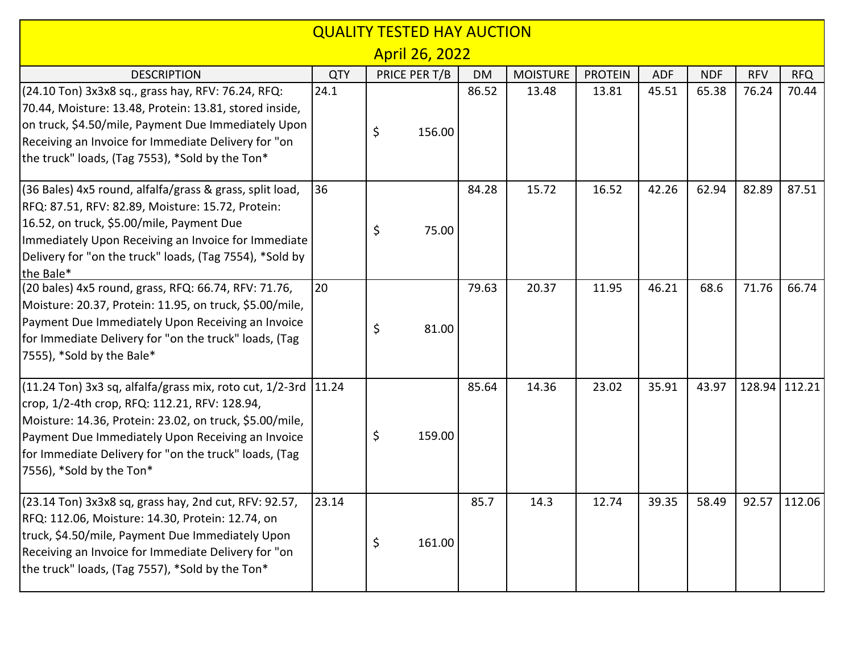|                                                                                                                                                                                                                                                                                                                       |            | <b>QUALITY TESTED HAY AUCTION</b> |        |           |                 |                |            |            |            |               |
|-----------------------------------------------------------------------------------------------------------------------------------------------------------------------------------------------------------------------------------------------------------------------------------------------------------------------|------------|-----------------------------------|--------|-----------|-----------------|----------------|------------|------------|------------|---------------|
|                                                                                                                                                                                                                                                                                                                       |            | <b>April 26, 2022</b>             |        |           |                 |                |            |            |            |               |
| <b>DESCRIPTION</b>                                                                                                                                                                                                                                                                                                    | <b>QTY</b> | PRICE PER T/B                     |        | <b>DM</b> | <b>MOISTURE</b> | <b>PROTEIN</b> | <b>ADF</b> | <b>NDF</b> | <b>RFV</b> | <b>RFQ</b>    |
| (24.10 Ton) 3x3x8 sq., grass hay, RFV: 76.24, RFQ:<br>70.44, Moisture: 13.48, Protein: 13.81, stored inside,<br>on truck, \$4.50/mile, Payment Due Immediately Upon<br>Receiving an Invoice for Immediate Delivery for "on<br>the truck" loads, (Tag 7553), *Sold by the Ton*                                         | 24.1       | \$                                | 156.00 | 86.52     | 13.48           | 13.81          | 45.51      | 65.38      | 76.24      | 70.44         |
| (36 Bales) 4x5 round, alfalfa/grass & grass, split load,<br>RFQ: 87.51, RFV: 82.89, Moisture: 15.72, Protein:<br>16.52, on truck, \$5.00/mile, Payment Due<br>Immediately Upon Receiving an Invoice for Immediate<br>Delivery for "on the truck" loads, (Tag 7554), *Sold by<br>the Bale*                             | 36         | \$                                | 75.00  | 84.28     | 15.72           | 16.52          | 42.26      | 62.94      | 82.89      | 87.51         |
| (20 bales) 4x5 round, grass, RFQ: 66.74, RFV: 71.76,<br>Moisture: 20.37, Protein: 11.95, on truck, \$5.00/mile,<br>Payment Due Immediately Upon Receiving an Invoice<br>for Immediate Delivery for "on the truck" loads, (Tag<br>7555), *Sold by the Bale*                                                            | 20         | \$                                | 81.00  | 79.63     | 20.37           | 11.95          | 46.21      | 68.6       | 71.76      | 66.74         |
| (11.24 Ton) 3x3 sq, alfalfa/grass mix, roto cut, 1/2-3rd  11.24<br>crop, 1/2-4th crop, RFQ: 112.21, RFV: 128.94,<br>Moisture: 14.36, Protein: 23.02, on truck, \$5.00/mile,<br>Payment Due Immediately Upon Receiving an Invoice<br>for Immediate Delivery for "on the truck" loads, (Tag<br>7556), *Sold by the Ton* |            | \$                                | 159.00 | 85.64     | 14.36           | 23.02          | 35.91      | 43.97      |            | 128.94 112.21 |
| $(23.14$ Ton) 3x3x8 sq, grass hay, 2nd cut, RFV: 92.57,<br>RFQ: 112.06, Moisture: 14.30, Protein: 12.74, on<br>truck, \$4.50/mile, Payment Due Immediately Upon<br>Receiving an Invoice for Immediate Delivery for "on<br>the truck" loads, (Tag 7557), *Sold by the Ton*                                             | 23.14      | \$                                | 161.00 | 85.7      | 14.3            | 12.74          | 39.35      | 58.49      |            | 92.57 112.06  |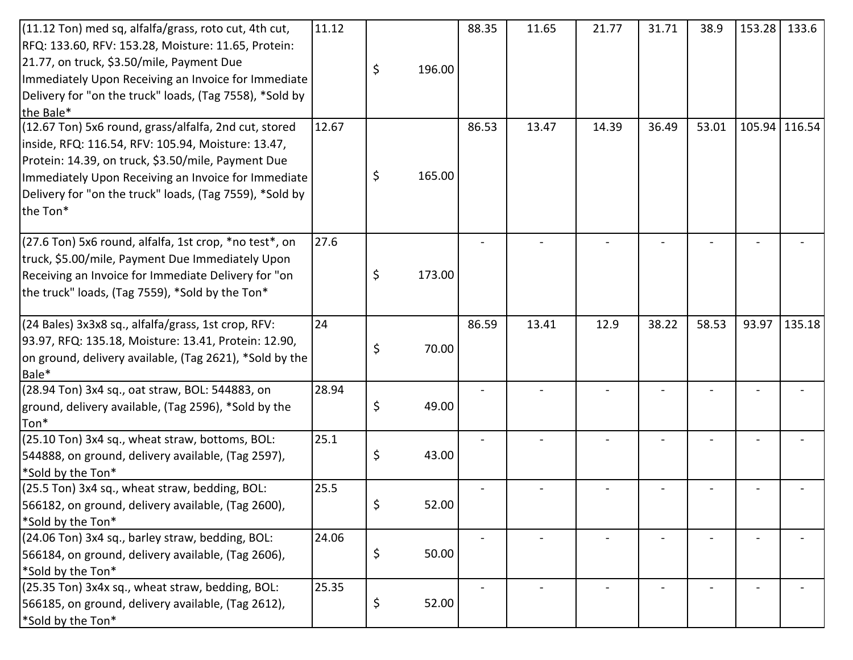| $(11.12$ Ton) med sq, alfalfa/grass, roto cut, 4th cut,  | 11.12 |    |        | 88.35 | 11.65 | 21.77 | 31.71 | 38.9  | 153.28 | 133.6         |
|----------------------------------------------------------|-------|----|--------|-------|-------|-------|-------|-------|--------|---------------|
| RFQ: 133.60, RFV: 153.28, Moisture: 11.65, Protein:      |       |    |        |       |       |       |       |       |        |               |
| [21.77, on truck, \$3.50/mile, Payment Due               |       | \$ | 196.00 |       |       |       |       |       |        |               |
| Immediately Upon Receiving an Invoice for Immediate      |       |    |        |       |       |       |       |       |        |               |
| Delivery for "on the truck" loads, (Tag 7558), *Sold by  |       |    |        |       |       |       |       |       |        |               |
| the Bale*                                                |       |    |        |       |       |       |       |       |        |               |
| (12.67 Ton) 5x6 round, grass/alfalfa, 2nd cut, stored    | 12.67 |    |        | 86.53 | 13.47 | 14.39 | 36.49 | 53.01 |        | 105.94 116.54 |
| inside, RFQ: 116.54, RFV: 105.94, Moisture: 13.47,       |       |    |        |       |       |       |       |       |        |               |
| Protein: 14.39, on truck, \$3.50/mile, Payment Due       |       |    |        |       |       |       |       |       |        |               |
| Immediately Upon Receiving an Invoice for Immediate      |       | \$ | 165.00 |       |       |       |       |       |        |               |
| Delivery for "on the truck" loads, (Tag 7559), *Sold by  |       |    |        |       |       |       |       |       |        |               |
| the Ton*                                                 |       |    |        |       |       |       |       |       |        |               |
|                                                          |       |    |        |       |       |       |       |       |        |               |
| $(27.6$ Ton) 5x6 round, alfalfa, 1st crop, *no test*, on | 27.6  |    |        |       |       |       |       |       |        |               |
| truck, \$5.00/mile, Payment Due Immediately Upon         |       |    |        |       |       |       |       |       |        |               |
| Receiving an Invoice for Immediate Delivery for "on      |       | \$ | 173.00 |       |       |       |       |       |        |               |
| the truck" loads, (Tag 7559), *Sold by the Ton*          |       |    |        |       |       |       |       |       |        |               |
|                                                          |       |    |        |       |       |       |       |       |        |               |
| (24 Bales) 3x3x8 sq., alfalfa/grass, 1st crop, RFV:      | 24    |    |        | 86.59 | 13.41 | 12.9  | 38.22 | 58.53 | 93.97  | 135.18        |
| 93.97, RFQ: 135.18, Moisture: 13.41, Protein: 12.90,     |       | \$ | 70.00  |       |       |       |       |       |        |               |
| on ground, delivery available, (Tag 2621), *Sold by the  |       |    |        |       |       |       |       |       |        |               |
| Bale*                                                    |       |    |        |       |       |       |       |       |        |               |
| (28.94 Ton) 3x4 sq., oat straw, BOL: 544883, on          | 28.94 |    |        |       |       |       |       |       |        |               |
| ground, delivery available, (Tag 2596), *Sold by the     |       | \$ | 49.00  |       |       |       |       |       |        |               |
| Ton*                                                     |       |    |        |       |       |       |       |       |        |               |
| (25.10 Ton) 3x4 sq., wheat straw, bottoms, BOL:          | 25.1  |    |        |       |       |       |       |       |        |               |
| 544888, on ground, delivery available, (Tag 2597),       |       | \$ | 43.00  |       |       |       |       |       |        |               |
| *Sold by the Ton*                                        |       |    |        |       |       |       |       |       |        |               |
| (25.5 Ton) 3x4 sq., wheat straw, bedding, BOL:           | 25.5  |    |        |       |       |       |       |       |        |               |
| 566182, on ground, delivery available, (Tag 2600),       |       | Ç  | 52.00  |       |       |       |       |       |        |               |
| *Sold by the Ton*                                        |       |    |        |       |       |       |       |       |        |               |
| (24.06 Ton) 3x4 sq., barley straw, bedding, BOL:         | 24.06 |    |        |       |       |       |       |       |        |               |
| 566184, on ground, delivery available, (Tag 2606),       |       | \$ | 50.00  |       |       |       |       |       |        |               |
| *Sold by the Ton*                                        |       |    |        |       |       |       |       |       |        |               |
| (25.35 Ton) 3x4x sq., wheat straw, bedding, BOL:         | 25.35 |    |        |       |       |       |       |       |        |               |
| 566185, on ground, delivery available, (Tag 2612),       |       | \$ | 52.00  |       |       |       |       |       |        |               |
| *Sold by the Ton*                                        |       |    |        |       |       |       |       |       |        |               |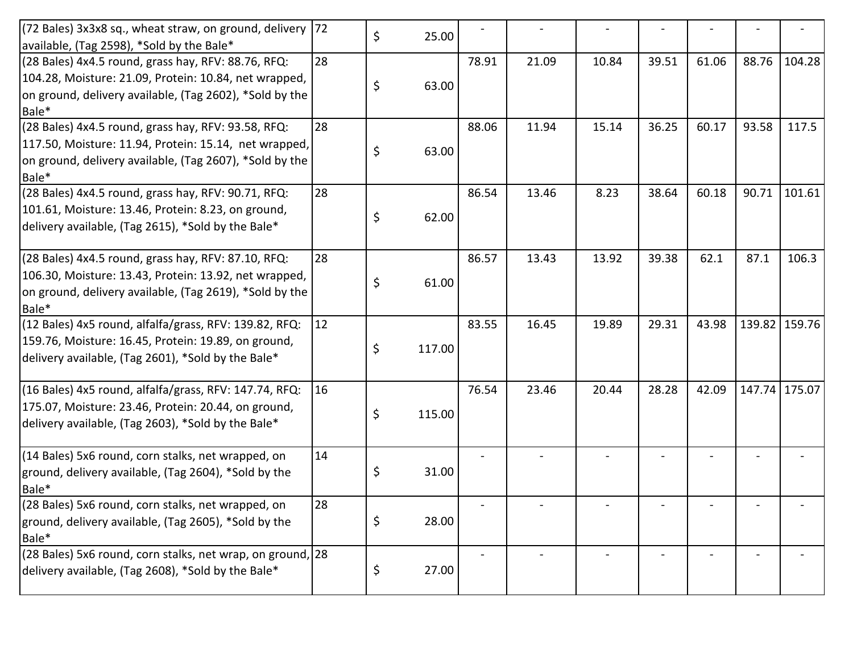| [72 Bales] 3x3x8 sq., wheat straw, on ground, delivery<br>available, (Tag 2598), *Sold by the Bale*                                                                                | 72 | \$<br>25.00  |       |       |       |       |       |        |               |
|------------------------------------------------------------------------------------------------------------------------------------------------------------------------------------|----|--------------|-------|-------|-------|-------|-------|--------|---------------|
| $(28$ Bales) 4x4.5 round, grass hay, RFV: 88.76, RFQ:<br>104.28, Moisture: 21.09, Protein: 10.84, net wrapped,<br>on ground, delivery available, (Tag 2602), *Sold by the<br>Bale* | 28 | \$<br>63.00  | 78.91 | 21.09 | 10.84 | 39.51 | 61.06 | 88.76  | 104.28        |
| (28 Bales) 4x4.5 round, grass hay, RFV: 93.58, RFQ:<br>117.50, Moisture: 11.94, Protein: 15.14, net wrapped,<br>on ground, delivery available, (Tag 2607), *Sold by the<br>Bale*   | 28 | \$<br>63.00  | 88.06 | 11.94 | 15.14 | 36.25 | 60.17 | 93.58  | 117.5         |
| (28 Bales) 4x4.5 round, grass hay, RFV: 90.71, RFQ:<br>101.61, Moisture: 13.46, Protein: 8.23, on ground,<br>delivery available, (Tag 2615), *Sold by the Bale*                    | 28 | \$<br>62.00  | 86.54 | 13.46 | 8.23  | 38.64 | 60.18 | 90.71  | 101.61        |
| (28 Bales) 4x4.5 round, grass hay, RFV: 87.10, RFQ:<br>106.30, Moisture: 13.43, Protein: 13.92, net wrapped,<br>on ground, delivery available, (Tag 2619), *Sold by the<br>Bale*   | 28 | \$<br>61.00  | 86.57 | 13.43 | 13.92 | 39.38 | 62.1  | 87.1   | 106.3         |
| (12 Bales) 4x5 round, alfalfa/grass, RFV: 139.82, RFQ:<br>159.76, Moisture: 16.45, Protein: 19.89, on ground,<br>delivery available, (Tag 2601), *Sold by the Bale*                | 12 | \$<br>117.00 | 83.55 | 16.45 | 19.89 | 29.31 | 43.98 |        | 139.82 159.76 |
| (16 Bales) 4x5 round, alfalfa/grass, RFV: 147.74, RFQ:<br>175.07, Moisture: 23.46, Protein: 20.44, on ground,<br>delivery available, (Tag 2603), *Sold by the Bale*                | 16 | \$<br>115.00 | 76.54 | 23.46 | 20.44 | 28.28 | 42.09 | 147.74 | 175.07        |
| (14 Bales) 5x6 round, corn stalks, net wrapped, on<br>ground, delivery available, (Tag 2604), *Sold by the<br>Bale*                                                                | 14 | \$<br>31.00  |       |       |       |       |       |        |               |
| (28 Bales) 5x6 round, corn stalks, net wrapped, on<br>ground, delivery available, (Tag 2605), *Sold by the<br>Bale*                                                                | 28 | \$<br>28.00  |       |       |       |       |       |        |               |
| (28 Bales) 5x6 round, corn stalks, net wrap, on ground, 28<br>delivery available, (Tag 2608), *Sold by the Bale*                                                                   |    | \$<br>27.00  |       |       |       |       |       |        |               |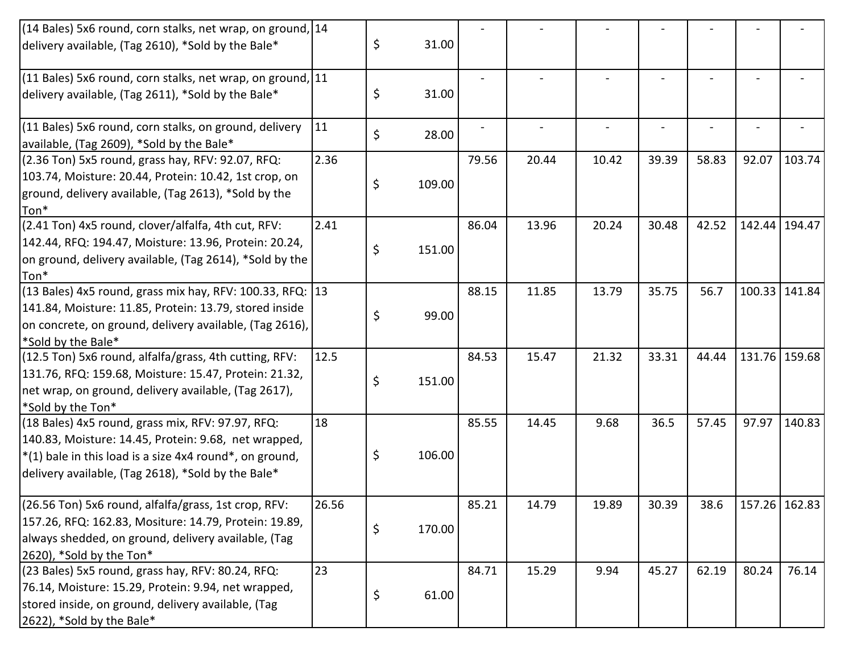| (14 Bales) 5x6 round, corn stalks, net wrap, on ground, 14                                          |       |              |       |       |       |       |       |       |               |
|-----------------------------------------------------------------------------------------------------|-------|--------------|-------|-------|-------|-------|-------|-------|---------------|
| delivery available, (Tag 2610), *Sold by the Bale*                                                  |       | \$<br>31.00  |       |       |       |       |       |       |               |
| (11 Bales) 5x6 round, corn stalks, net wrap, on ground, 11                                          |       |              |       |       |       |       |       |       |               |
| delivery available, (Tag 2611), *Sold by the Bale*                                                  |       | \$<br>31.00  |       |       |       |       |       |       |               |
| (11 Bales) 5x6 round, corn stalks, on ground, delivery<br>available, (Tag 2609), *Sold by the Bale* | 11    | \$<br>28.00  |       |       |       |       |       |       |               |
| $(2.36$ Ton) 5x5 round, grass hay, RFV: 92.07, RFQ:                                                 | 2.36  |              | 79.56 | 20.44 | 10.42 | 39.39 | 58.83 | 92.07 | 103.74        |
| 103.74, Moisture: 20.44, Protein: 10.42, 1st crop, on                                               |       |              |       |       |       |       |       |       |               |
| ground, delivery available, (Tag 2613), *Sold by the                                                |       | \$<br>109.00 |       |       |       |       |       |       |               |
| Ton*                                                                                                |       |              |       |       |       |       |       |       |               |
| (2.41 Ton) 4x5 round, clover/alfalfa, 4th cut, RFV:                                                 | 2.41  |              | 86.04 | 13.96 | 20.24 | 30.48 | 42.52 |       | 142.44 194.47 |
| [142.44, RFQ: 194.47, Moisture: 13.96, Protein: 20.24,                                              |       |              |       |       |       |       |       |       |               |
| on ground, delivery available, (Tag 2614), *Sold by the                                             |       | \$<br>151.00 |       |       |       |       |       |       |               |
| Ton*                                                                                                |       |              |       |       |       |       |       |       |               |
| (13 Bales) 4x5 round, grass mix hay, RFV: 100.33, RFQ: 13                                           |       |              | 88.15 | 11.85 | 13.79 | 35.75 | 56.7  |       | 100.33 141.84 |
| 141.84, Moisture: 11.85, Protein: 13.79, stored inside                                              |       |              |       |       |       |       |       |       |               |
| on concrete, on ground, delivery available, (Tag 2616),                                             |       | \$<br>99.00  |       |       |       |       |       |       |               |
| *Sold by the Bale*                                                                                  |       |              |       |       |       |       |       |       |               |
| (12.5 Ton) 5x6 round, alfalfa/grass, 4th cutting, RFV:                                              | 12.5  |              | 84.53 | 15.47 | 21.32 | 33.31 | 44.44 |       | 131.76 159.68 |
| 131.76, RFQ: 159.68, Moisture: 15.47, Protein: 21.32,                                               |       | \$<br>151.00 |       |       |       |       |       |       |               |
| net wrap, on ground, delivery available, (Tag 2617),                                                |       |              |       |       |       |       |       |       |               |
| *Sold by the Ton*                                                                                   |       |              |       |       |       |       |       |       |               |
| (18 Bales) 4x5 round, grass mix, RFV: 97.97, RFQ:                                                   | 18    |              | 85.55 | 14.45 | 9.68  | 36.5  | 57.45 | 97.97 | 140.83        |
| 140.83, Moisture: 14.45, Protein: 9.68, net wrapped,                                                |       |              |       |       |       |       |       |       |               |
| $*(1)$ bale in this load is a size 4x4 round*, on ground,                                           |       | \$<br>106.00 |       |       |       |       |       |       |               |
| delivery available, (Tag 2618), *Sold by the Bale*                                                  |       |              |       |       |       |       |       |       |               |
| (26.56 Ton) 5x6 round, alfalfa/grass, 1st crop, RFV:                                                | 26.56 |              | 85.21 | 14.79 | 19.89 | 30.39 | 38.6  |       | 157.26 162.83 |
| 157.26, RFQ: 162.83, Mositure: 14.79, Protein: 19.89,                                               |       |              |       |       |       |       |       |       |               |
| always shedded, on ground, delivery available, (Tag                                                 |       | \$<br>170.00 |       |       |       |       |       |       |               |
| 2620), *Sold by the Ton*                                                                            |       |              |       |       |       |       |       |       |               |
| (23 Bales) 5x5 round, grass hay, RFV: 80.24, RFQ:                                                   | 23    |              | 84.71 | 15.29 | 9.94  | 45.27 | 62.19 | 80.24 | 76.14         |
| 76.14, Moisture: 15.29, Protein: 9.94, net wrapped,                                                 |       |              |       |       |       |       |       |       |               |
| stored inside, on ground, delivery available, (Tag                                                  |       | \$<br>61.00  |       |       |       |       |       |       |               |
| [2622], *Sold by the Bale*                                                                          |       |              |       |       |       |       |       |       |               |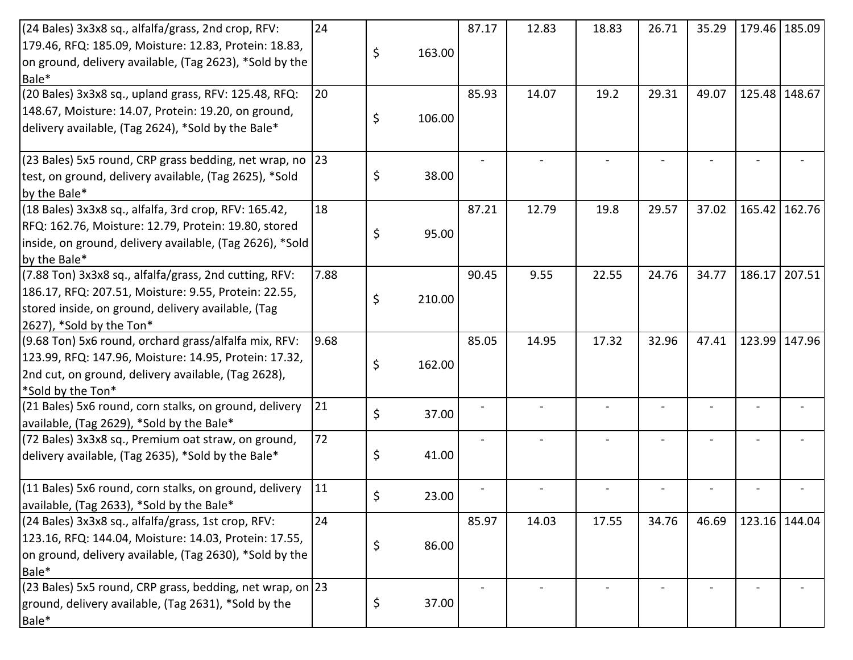| (24 Bales) 3x3x8 sq., alfalfa/grass, 2nd crop, RFV:            | 24   |    |        | 87.17 | 12.83 | 18.83 | 26.71 | 35.29 |               | 179.46 185.09 |
|----------------------------------------------------------------|------|----|--------|-------|-------|-------|-------|-------|---------------|---------------|
| [179.46, RFQ: 185.09, Moisture: 12.83, Protein: 18.83,         |      |    |        |       |       |       |       |       |               |               |
| on ground, delivery available, (Tag 2623), *Sold by the        |      | Ś  | 163.00 |       |       |       |       |       |               |               |
| Bale*                                                          |      |    |        |       |       |       |       |       |               |               |
| (20 Bales) 3x3x8 sq., upland grass, RFV: 125.48, RFQ:          | 20   |    |        | 85.93 | 14.07 | 19.2  | 29.31 | 49.07 | 125.48 148.67 |               |
| 148.67, Moisture: 14.07, Protein: 19.20, on ground,            |      |    |        |       |       |       |       |       |               |               |
| delivery available, (Tag 2624), *Sold by the Bale*             |      |    | 106.00 |       |       |       |       |       |               |               |
| $(23$ Bales) 5x5 round, CRP grass bedding, net wrap, no $ 23 $ |      |    |        |       |       |       |       |       |               |               |
| test, on ground, delivery available, (Tag 2625), *Sold         |      | \$ | 38.00  |       |       |       |       |       |               |               |
| by the Bale*                                                   |      |    |        |       |       |       |       |       |               |               |
| $(18$ Bales) $3x3x8$ sq., alfalfa, $3rd$ crop, RFV: 165.42,    | 18   |    |        | 87.21 | 12.79 | 19.8  | 29.57 | 37.02 |               | 165.42 162.76 |
| RFQ: 162.76, Moisture: 12.79, Protein: 19.80, stored           |      |    |        |       |       |       |       |       |               |               |
| inside, on ground, delivery available, (Tag 2626), *Sold       |      | Ś  | 95.00  |       |       |       |       |       |               |               |
| by the Bale*                                                   |      |    |        |       |       |       |       |       |               |               |
| (7.88 Ton) 3x3x8 sq., alfalfa/grass, 2nd cutting, RFV:         | 7.88 |    |        | 90.45 | 9.55  | 22.55 | 24.76 | 34.77 | 186.17        | 207.51        |
| 186.17, RFQ: 207.51, Moisture: 9.55, Protein: 22.55,           |      |    |        |       |       |       |       |       |               |               |
| stored inside, on ground, delivery available, (Tag             |      |    | 210.00 |       |       |       |       |       |               |               |
| $[2627]$ , *Sold by the Ton*                                   |      |    |        |       |       |       |       |       |               |               |
| (9.68 Ton) 5x6 round, orchard grass/alfalfa mix, RFV:          | 9.68 |    |        | 85.05 | 14.95 | 17.32 | 32.96 | 47.41 |               | 123.99 147.96 |
| 123.99, RFQ: 147.96, Moisture: 14.95, Protein: 17.32,          |      |    |        |       |       |       |       |       |               |               |
| 2nd cut, on ground, delivery available, (Tag 2628),            |      |    | 162.00 |       |       |       |       |       |               |               |
| *Sold by the Ton*                                              |      |    |        |       |       |       |       |       |               |               |
| (21 Bales) 5x6 round, corn stalks, on ground, delivery         | 21   | \$ | 37.00  |       |       |       |       |       |               |               |
| available, (Tag 2629), *Sold by the Bale*                      |      |    |        |       |       |       |       |       |               |               |
| (72 Bales) 3x3x8 sq., Premium oat straw, on ground,            | 72   |    |        |       |       |       |       |       |               |               |
| delivery available, (Tag 2635), *Sold by the Bale*             |      | S  | 41.00  |       |       |       |       |       |               |               |
| (11 Bales) 5x6 round, corn stalks, on ground, delivery         | 11   |    |        |       |       |       |       |       |               |               |
| available, (Tag 2633), *Sold by the Bale*                      |      | \$ | 23.00  |       |       |       |       |       |               |               |
| (24 Bales) 3x3x8 sq., alfalfa/grass, 1st crop, RFV:            | 24   |    |        | 85.97 | 14.03 | 17.55 | 34.76 | 46.69 |               | 123.16 144.04 |
| 123.16, RFQ: 144.04, Moisture: 14.03, Protein: 17.55,          |      |    |        |       |       |       |       |       |               |               |
| on ground, delivery available, (Tag 2630), *Sold by the        |      | \$ | 86.00  |       |       |       |       |       |               |               |
| Bale*                                                          |      |    |        |       |       |       |       |       |               |               |
| (23 Bales) 5x5 round, CRP grass, bedding, net wrap, on 23      |      |    |        |       |       |       |       |       |               |               |
| ground, delivery available, (Tag 2631), *Sold by the           |      | \$ | 37.00  |       |       |       |       |       |               |               |
| Bale*                                                          |      |    |        |       |       |       |       |       |               |               |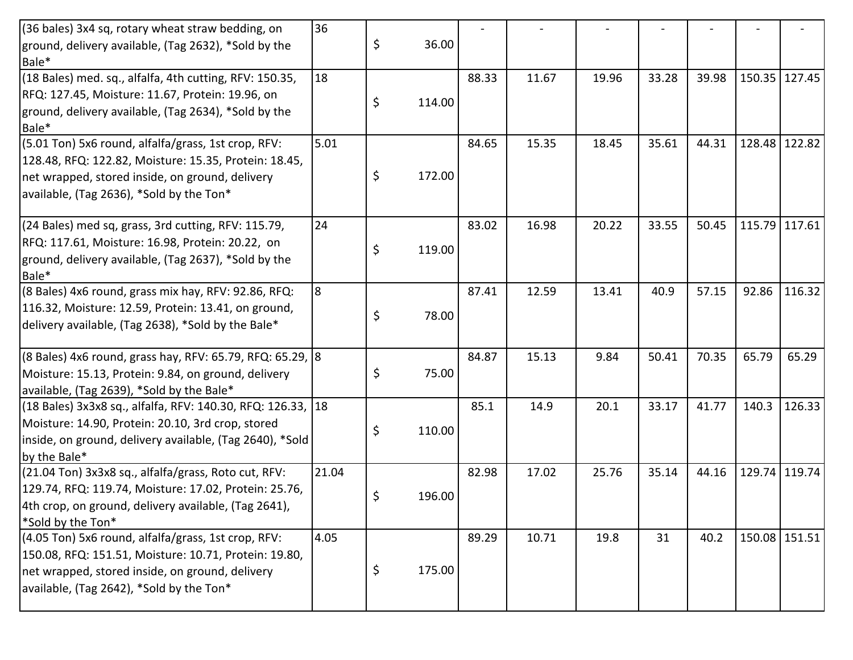| (36 bales) 3x4 sq, rotary wheat straw bedding, on           | 36    |              |       |       |       |       |       |               |               |
|-------------------------------------------------------------|-------|--------------|-------|-------|-------|-------|-------|---------------|---------------|
| ground, delivery available, (Tag 2632), *Sold by the        |       | \$<br>36.00  |       |       |       |       |       |               |               |
| Bale*                                                       |       |              |       |       |       |       |       |               |               |
| (18 Bales) med. sq., alfalfa, 4th cutting, RFV: 150.35,     | 18    |              | 88.33 | 11.67 | 19.96 | 33.28 | 39.98 | 150.35 127.45 |               |
| RFQ: 127.45, Moisture: 11.67, Protein: 19.96, on            |       | \$<br>114.00 |       |       |       |       |       |               |               |
| ground, delivery available, (Tag 2634), *Sold by the        |       |              |       |       |       |       |       |               |               |
| Bale*                                                       |       |              |       |       |       |       |       |               |               |
| (5.01 Ton) 5x6 round, alfalfa/grass, 1st crop, RFV:         | 5.01  |              | 84.65 | 15.35 | 18.45 | 35.61 | 44.31 |               | 128.48 122.82 |
| 128.48, RFQ: 122.82, Moisture: 15.35, Protein: 18.45,       |       |              |       |       |       |       |       |               |               |
| net wrapped, stored inside, on ground, delivery             |       | \$<br>172.00 |       |       |       |       |       |               |               |
| available, (Tag 2636), *Sold by the Ton*                    |       |              |       |       |       |       |       |               |               |
| (24 Bales) med sq, grass, 3rd cutting, RFV: 115.79,         | 24    |              | 83.02 | 16.98 | 20.22 | 33.55 | 50.45 | 115.79 117.61 |               |
| RFQ: 117.61, Moisture: 16.98, Protein: 20.22, on            |       | \$<br>119.00 |       |       |       |       |       |               |               |
| ground, delivery available, (Tag 2637), *Sold by the        |       |              |       |       |       |       |       |               |               |
| Bale*                                                       |       |              |       |       |       |       |       |               |               |
| (8 Bales) 4x6 round, grass mix hay, RFV: 92.86, RFQ:        | l8    |              | 87.41 | 12.59 | 13.41 | 40.9  | 57.15 | 92.86         | 116.32        |
| 116.32, Moisture: 12.59, Protein: 13.41, on ground,         |       | \$<br>78.00  |       |       |       |       |       |               |               |
| delivery available, (Tag 2638), *Sold by the Bale*          |       |              |       |       |       |       |       |               |               |
| (8 Bales) 4x6 round, grass hay, RFV: 65.79, RFQ: 65.29, 8   |       |              | 84.87 | 15.13 | 9.84  | 50.41 | 70.35 | 65.79         | 65.29         |
| Moisture: 15.13, Protein: 9.84, on ground, delivery         |       | \$<br>75.00  |       |       |       |       |       |               |               |
| available, (Tag 2639), *Sold by the Bale*                   |       |              |       |       |       |       |       |               |               |
| (18 Bales) 3x3x8 sq., alfalfa, RFV: 140.30, RFQ: 126.33, 18 |       |              | 85.1  | 14.9  | 20.1  | 33.17 | 41.77 | 140.3         | 126.33        |
| Moisture: 14.90, Protein: 20.10, 3rd crop, stored           |       | \$<br>110.00 |       |       |       |       |       |               |               |
| inside, on ground, delivery available, (Tag 2640), *Sold    |       |              |       |       |       |       |       |               |               |
| by the Bale*                                                |       |              |       |       |       |       |       |               |               |
| (21.04 Ton) 3x3x8 sq., alfalfa/grass, Roto cut, RFV:        | 21.04 |              | 82.98 | 17.02 | 25.76 | 35.14 | 44.16 |               | 129.74 119.74 |
| 129.74, RFQ: 119.74, Moisture: 17.02, Protein: 25.76,       |       | \$<br>196.00 |       |       |       |       |       |               |               |
| 4th crop, on ground, delivery available, (Tag 2641),        |       |              |       |       |       |       |       |               |               |
| *Sold by the Ton*                                           |       |              |       |       |       |       |       |               |               |
| (4.05 Ton) 5x6 round, alfalfa/grass, 1st crop, RFV:         | 4.05  |              | 89.29 | 10.71 | 19.8  | 31    | 40.2  | 150.08 151.51 |               |
| 150.08, RFQ: 151.51, Moisture: 10.71, Protein: 19.80,       |       |              |       |       |       |       |       |               |               |
| net wrapped, stored inside, on ground, delivery             |       | \$<br>175.00 |       |       |       |       |       |               |               |
|                                                             |       |              |       |       |       |       |       |               |               |